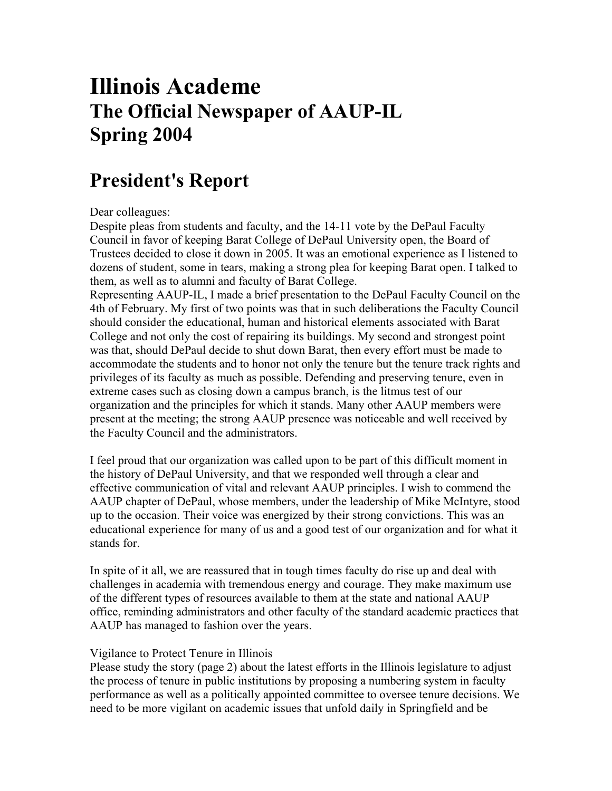# **Illinois Academe The Official Newspaper of AAUP-IL Spring 2004**

# **President's Report**

## Dear colleagues:

Despite pleas from students and faculty, and the 14-11 vote by the DePaul Faculty Council in favor of keeping Barat College of DePaul University open, the Board of Trustees decided to close it down in 2005. It was an emotional experience as I listened to dozens of student, some in tears, making a strong plea for keeping Barat open. I talked to them, as well as to alumni and faculty of Barat College.

Representing AAUP-IL, I made a brief presentation to the DePaul Faculty Council on the 4th of February. My first of two points was that in such deliberations the Faculty Council should consider the educational, human and historical elements associated with Barat College and not only the cost of repairing its buildings. My second and strongest point was that, should DePaul decide to shut down Barat, then every effort must be made to accommodate the students and to honor not only the tenure but the tenure track rights and privileges of its faculty as much as possible. Defending and preserving tenure, even in extreme cases such as closing down a campus branch, is the litmus test of our organization and the principles for which it stands. Many other AAUP members were present at the meeting; the strong AAUP presence was noticeable and well received by the Faculty Council and the administrators.

I feel proud that our organization was called upon to be part of this difficult moment in the history of DePaul University, and that we responded well through a clear and effective communication of vital and relevant AAUP principles. I wish to commend the AAUP chapter of DePaul, whose members, under the leadership of Mike McIntyre, stood up to the occasion. Their voice was energized by their strong convictions. This was an educational experience for many of us and a good test of our organization and for what it stands for.

In spite of it all, we are reassured that in tough times faculty do rise up and deal with challenges in academia with tremendous energy and courage. They make maximum use of the different types of resources available to them at the state and national AAUP office, reminding administrators and other faculty of the standard academic practices that AAUP has managed to fashion over the years.

### Vigilance to Protect Tenure in Illinois

Please study the story (page 2) about the latest efforts in the Illinois legislature to adjust the process of tenure in public institutions by proposing a numbering system in faculty performance as well as a politically appointed committee to oversee tenure decisions. We need to be more vigilant on academic issues that unfold daily in Springfield and be